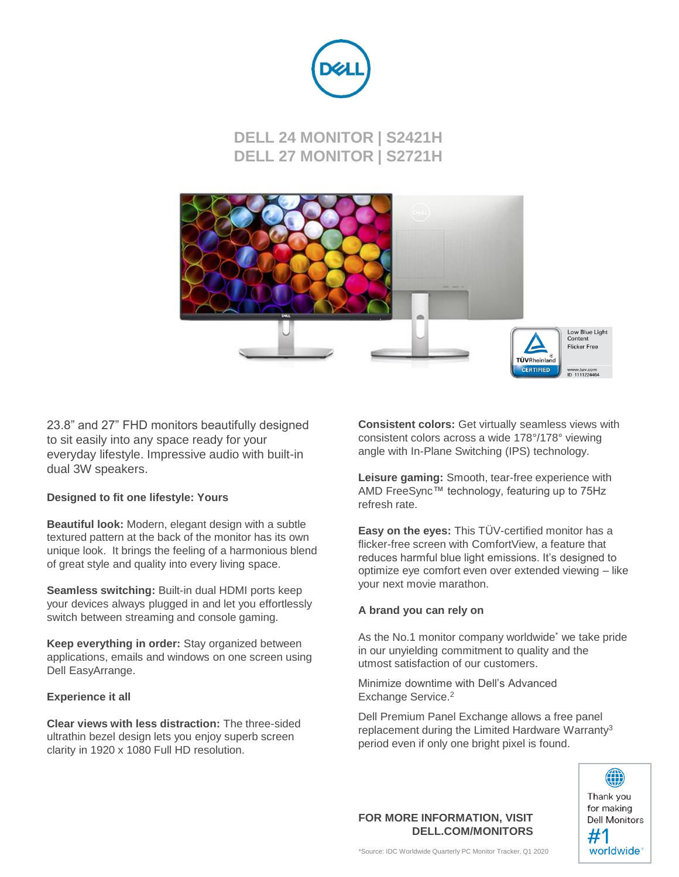

## **DELL 24 MONITOR | S2421H DELL 27 MONITOR | S2721H**



23.8" and 27" FHD monitors beautifully designed to sit easily into any space ready for your everyday lifestyle. Impressive audio with built-in dual 3W speakers.

#### **Designed to fit one lifestyle: Yours**

**Beautiful look:** Modern, elegant design with a subtle textured pattern at the back of the monitor has its own unique look. It brings the feeling of a harmonious blend of great style and quality into every living space.

**Seamless switching:** Built-in dual HDMI ports keep your devices always plugged in and let you effortlessly switch between streaming and console gaming.

**Keep everything in order:** Stay organized between applications, emails and windows on one screen using Dell EasyArrange.

#### **Experience it all**

**Clear views with less distraction:** The three-sided ultrathin bezel design lets you enjoy superb screen clarity in 1920 x 1080 Full HD resolution.

**Consistent colors:** Get virtually seamless views with consistent colors across a wide 178°/178° viewing angle with In-Plane Switching (IPS) technology.

**Leisure gaming:** Smooth, tear-free experience with AMD FreeSync™ technology, featuring up to 75Hz refresh rate.

**Easy on the eyes:** This TÜV-certified monitor has a flicker-free screen with ComfortView, a feature that reduces harmful blue light emissions. It's designed to optimize eye comfort even over extended viewing – like your next movie marathon.

#### **A brand you can rely on**

As the No.1 monitor company worldwide<sup>\*</sup> we take pride in our unyielding commitment to quality and the utmost satisfaction of our customers.

Minimize downtime with Dell's Advanced Exchange Service.<sup>2</sup>

Dell Premium Panel Exchange allows a free panel replacement during the Limited Hardware Warranty<sup>3</sup> period even if only one bright pixel is found.



**FOR MORE INFORMATION, VISIT DELL.COM/MONITORS**